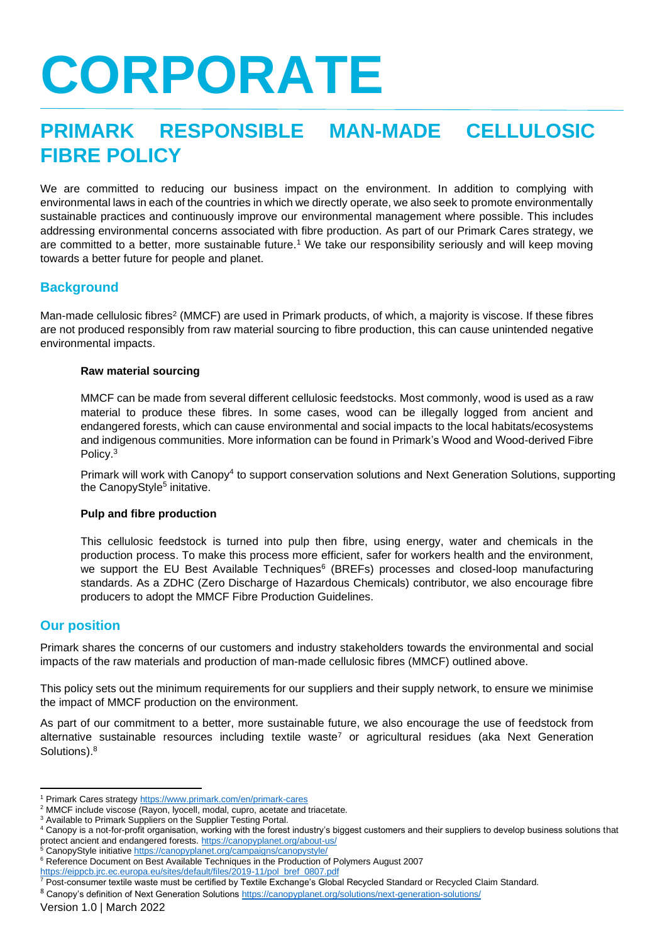# **CORPORATE**

# **PRIMARK RESPONSIBLE MAN-MADE CELLULOSIC FIBRE POLICY**

We are committed to reducing our business impact on the environment. In addition to complying with environmental laws in each of the countries in which we directly operate, we also seek to promote environmentally sustainable practices and continuously improve our environmental management where possible. This includes addressing environmental concerns associated with fibre production. As part of our Primark Cares strategy, we are committed to a better, more sustainable future.<sup>1</sup> We take our responsibility seriously and will keep moving towards a better future for people and planet.

#### **Background**

Man-made cellulosic fibres<sup>2</sup> (MMCF) are used in Primark products, of which, a majority is viscose. If these fibres are not produced responsibly from raw material sourcing to fibre production, this can cause unintended negative environmental impacts.

#### **Raw material sourcing**

MMCF can be made from several different cellulosic feedstocks. Most commonly, wood is used as a raw material to produce these fibres. In some cases, wood can be illegally logged from ancient and endangered forests, which can cause environmental and social impacts to the local habitats/ecosystems and indigenous communities. More information can be found in Primark's Wood and Wood-derived Fibre Policy.<sup>3</sup>

Primark will work with Canopy<sup>4</sup> to support conservation solutions and Next Generation Solutions, supporting the CanopyStyle<sup>5</sup> initative.

#### **Pulp and fibre production**

This cellulosic feedstock is turned into pulp then fibre, using energy, water and chemicals in the production process. To make this process more efficient, safer for workers health and the environment, we support the EU Best Available Techniques<sup>6</sup> (BREFs) processes and closed-loop manufacturing standards. As a ZDHC (Zero Discharge of Hazardous Chemicals) contributor, we also encourage fibre producers to adopt the MMCF Fibre Production Guidelines.

#### **Our position**

Primark shares the concerns of our customers and industry stakeholders towards the environmental and social impacts of the raw materials and production of man-made cellulosic fibres (MMCF) outlined above.

This policy sets out the minimum requirements for our suppliers and their supply network, to ensure we minimise the impact of MMCF production on the environment.

As part of our commitment to a better, more sustainable future, we also encourage the use of feedstock from alternative sustainable resources including textile waste<sup>7</sup> or agricultural residues (aka Next Generation Solutions).<sup>8</sup>

[https://eippcb.jrc.ec.europa.eu/sites/default/files/2019-11/pol\\_bref\\_0807.pdf](https://eippcb.jrc.ec.europa.eu/sites/default/files/2019-11/pol_bref_0807.pdf)

<sup>1</sup> Primark Cares strategy<https://www.primark.com/en/primark-cares>

<sup>&</sup>lt;sup>2</sup> MMCF include viscose (Rayon, lyocell, modal, cupro, acetate and triacetate.

<sup>&</sup>lt;sup>3</sup> Available to Primark Suppliers on the Supplier Testing Portal.

<sup>&</sup>lt;sup>4</sup> Canopy is a not-for-profit organisation, working with the forest industry's biggest customers and their suppliers to develop business solutions that protect ancient and endangered forests. <https://canopyplanet.org/about-us/>

<sup>&</sup>lt;sup>5</sup> CanopyStyle initiativ[e https://canopyplanet.org/campaigns/canopystyle/](https://canopyplanet.org/campaigns/canopystyle/)

<sup>&</sup>lt;sup>6</sup> Reference Document on Best Available Techniques in the Production of Polymers August 2007

<sup>7</sup> Post-consumer textile waste must be certified by Textile Exchange's Global Recycled Standard or Recycled Claim Standard.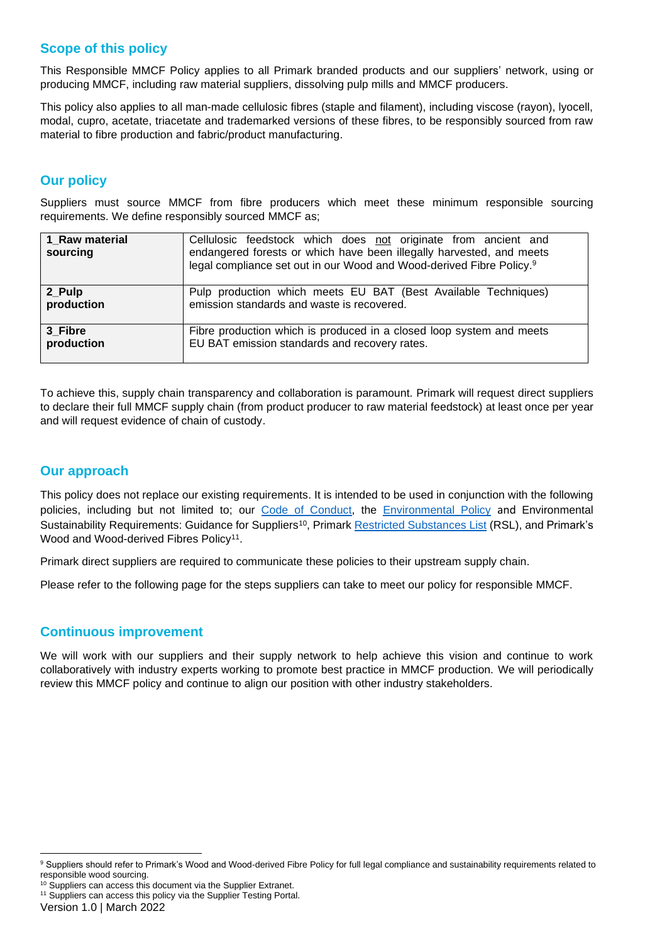#### **Scope of this policy**

This Responsible MMCF Policy applies to all Primark branded products and our suppliers' network, using or producing MMCF, including raw material suppliers, dissolving pulp mills and MMCF producers.

This policy also applies to all man-made cellulosic fibres (staple and filament), including viscose (rayon), lyocell, modal, cupro, acetate, triacetate and trademarked versions of these fibres, to be responsibly sourced from raw material to fibre production and fabric/product manufacturing.

# **Our policy**

Suppliers must source MMCF from fibre producers which meet these minimum responsible sourcing requirements. We define responsibly sourced MMCF as;

| 1 Raw material<br>sourcing | Cellulosic feedstock which does not originate from ancient and<br>endangered forests or which have been illegally harvested, and meets<br>legal compliance set out in our Wood and Wood-derived Fibre Policy. <sup>9</sup> |
|----------------------------|----------------------------------------------------------------------------------------------------------------------------------------------------------------------------------------------------------------------------|
| 2_Pulp                     | Pulp production which meets EU BAT (Best Available Techniques)                                                                                                                                                             |
| production                 | emission standards and waste is recovered.                                                                                                                                                                                 |
| 3 Fibre                    | Fibre production which is produced in a closed loop system and meets                                                                                                                                                       |
| production                 | EU BAT emission standards and recovery rates.                                                                                                                                                                              |

To achieve this, supply chain transparency and collaboration is paramount. Primark will request direct suppliers to declare their full MMCF supply chain (from product producer to raw material feedstock) at least once per year and will request evidence of chain of custody.

#### **Our approach**

This policy does not replace our existing requirements. It is intended to be used in conjunction with the following policies, including but not limited to; our [Code of Conduct,](https://www.primark.com/en/primark-cares/code-of-conduct) the [Environmental Policy](https://primark.a.bigcontent.io/v1/static/Environmental-Policy) and Environmental Sustainability Requirements: Guidance for Suppliers<sup>10</sup>, Primark [Restricted Substances List](https://primark.a.bigcontent.io/v1/static/PRIMARK_Restricted-Substances-List_English_February-2018) (RSL), and Primark's Wood and Wood-derived Fibres Policy<sup>11</sup>.

Primark direct suppliers are required to communicate these policies to their upstream supply chain.

Please refer to the following page for the steps suppliers can take to meet our policy for responsible MMCF.

#### **Continuous improvement**

We will work with our suppliers and their supply network to help achieve this vision and continue to work collaboratively with industry experts working to promote best practice in MMCF production. We will periodically review this MMCF policy and continue to align our position with other industry stakeholders.

<sup>&</sup>lt;sup>9</sup> Suppliers should refer to Primark's Wood and Wood-derived Fibre Policy for full legal compliance and sustainability requirements related to responsible wood sourcing.

<sup>&</sup>lt;sup>10</sup> Suppliers can access this document via the Supplier Extranet. <sup>11</sup> Suppliers can access this policy via the Supplier Testing Portal.

Version 1.0 | March 2022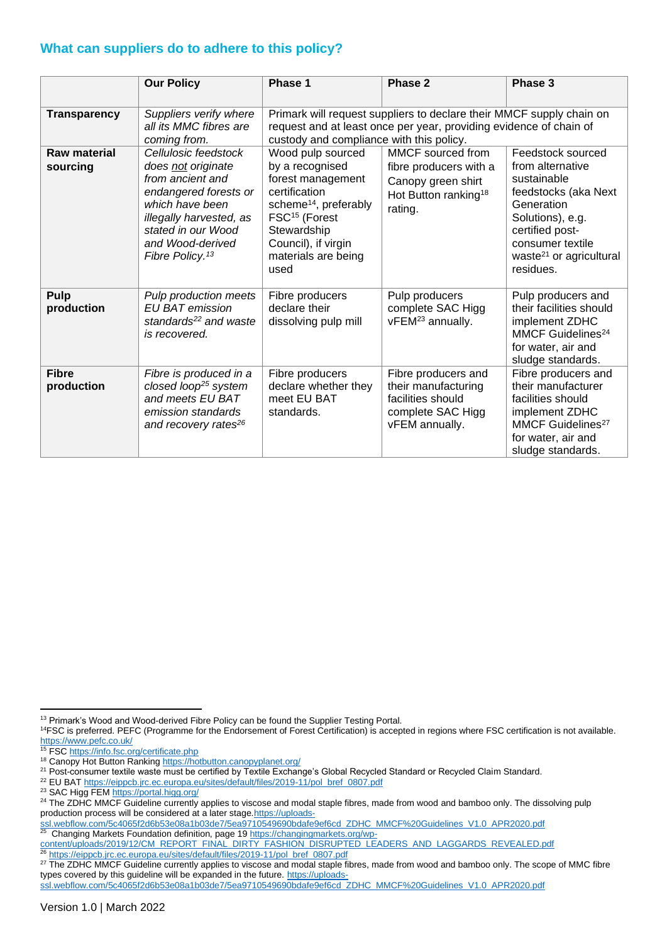### **What can suppliers do to adhere to this policy?**

|                                 | <b>Our Policy</b>                                                                                                                                                                                              | Phase 1                                                                                                                                                                                                           | Phase 2                                                                                                          | Phase 3                                                                                                                                                                                                   |
|---------------------------------|----------------------------------------------------------------------------------------------------------------------------------------------------------------------------------------------------------------|-------------------------------------------------------------------------------------------------------------------------------------------------------------------------------------------------------------------|------------------------------------------------------------------------------------------------------------------|-----------------------------------------------------------------------------------------------------------------------------------------------------------------------------------------------------------|
| <b>Transparency</b>             | Suppliers verify where<br>all its MMC fibres are<br>coming from.                                                                                                                                               | Primark will request suppliers to declare their MMCF supply chain on<br>request and at least once per year, providing evidence of chain of<br>custody and compliance with this policy.                            |                                                                                                                  |                                                                                                                                                                                                           |
| <b>Raw material</b><br>sourcing | Cellulosic feedstock<br>does not originate<br>from ancient and<br>endangered forests or<br>which have been<br>illegally harvested, as<br>stated in our Wood<br>and Wood-derived<br>Fibre Policy. <sup>13</sup> | Wood pulp sourced<br>by a recognised<br>forest management<br>certification<br>scheme <sup>14</sup> , preferably<br>FSC <sup>15</sup> (Forest<br>Stewardship<br>Council), if virgin<br>materials are being<br>used | MMCF sourced from<br>fibre producers with a<br>Canopy green shirt<br>Hot Button ranking <sup>18</sup><br>rating. | Feedstock sourced<br>from alternative<br>sustainable<br>feedstocks (aka Next<br>Generation<br>Solutions), e.g.<br>certified post-<br>consumer textile<br>waste <sup>21</sup> or agricultural<br>residues. |
| Pulp<br>production              | Pulp production meets<br>EU BAT emission<br>standards <sup>22</sup> and waste<br>is recovered.                                                                                                                 | Fibre producers<br>declare their<br>dissolving pulp mill                                                                                                                                                          | Pulp producers<br>complete SAC Higg<br>vFEM <sup>23</sup> annually.                                              | Pulp producers and<br>their facilities should<br>implement ZDHC<br>MMCF Guidelines <sup>24</sup><br>for water, air and<br>sludge standards.                                                               |
| <b>Fibre</b><br>production      | Fibre is produced in a<br>closed loop <sup>25</sup> system<br>and meets EU BAT<br>emission standards<br>and recovery rates <sup>26</sup>                                                                       | Fibre producers<br>declare whether they<br>meet EU BAT<br>standards.                                                                                                                                              | Fibre producers and<br>their manufacturing<br>facilities should<br>complete SAC Higg<br>vFEM annually.           | Fibre producers and<br>their manufacturer<br>facilities should<br>implement ZDHC<br>MMCF Guidelines <sup>27</sup><br>for water, air and<br>sludge standards.                                              |

<sup>&</sup>lt;sup>13</sup> Primark's Wood and Wood-derived Fibre Policy can be found the Supplier Testing Portal.

<sup>&</sup>lt;sup>14</sup>FSC is preferred. PEFC (Programme for the Endorsement of Forest Certification) is accepted in regions where FSC certification is not available. <https://www.pefc.co.uk/>

<sup>&</sup>lt;sup>15</sup> FSC<https://info.fsc.org/certificate.php>

<sup>&</sup>lt;sup>18</sup> Canopy Hot Button Rankin[g https://hotbutton.canopyplanet.org/](https://hotbutton.canopyplanet.org/)

 $^{21}$  Post-consumer textile waste must be certified by Textile Exchange's Global Recycled Standard or Recycled Claim Standard.

<sup>22</sup> EU BAT [https://eippcb.jrc.ec.europa.eu/sites/default/files/2019-11/pol\\_bref\\_0807.pdf](https://eippcb.jrc.ec.europa.eu/sites/default/files/2019-11/pol_bref_0807.pdf)

<sup>23</sup> SAC Higg FE[M https://portal.higg.org/](https://portal.higg.org/)

<sup>&</sup>lt;sup>24</sup> The ZDHC MMCF Guideline currently applies to viscose and modal staple fibres, made from wood and bamboo only. The dissolving pulp production process will be considered at a later stage[.https://uploads-](https://uploads-ssl.webflow.com/5c4065f2d6b53e08a1b03de7/5ea9710549690bdafe9ef6cd_ZDHC_MMCF%20Guidelines_V1.0_APR2020.pdf)

[ssl.webflow.com/5c4065f2d6b53e08a1b03de7/5ea9710549690bdafe9ef6cd\\_ZDHC\\_MMCF%20Guidelines\\_V1.0\\_APR2020.pdf](https://uploads-ssl.webflow.com/5c4065f2d6b53e08a1b03de7/5ea9710549690bdafe9ef6cd_ZDHC_MMCF%20Guidelines_V1.0_APR2020.pdf) 25

Changing Markets Foundation definition, page 19 [https://changingmarkets.org/wp](https://changingmarkets.org/wp-content/uploads/2019/12/CM_REPORT_FINAL_DIRTY_FASHION_DISRUPTED_LEADERS_AND_LAGGARDS_REVEALED.pdf)[content/uploads/2019/12/CM\\_REPORT\\_FINAL\\_DIRTY\\_FASHION\\_DISRUPTED\\_LEADERS\\_AND\\_LAGGARDS\\_REVEALED.pdf](https://changingmarkets.org/wp-content/uploads/2019/12/CM_REPORT_FINAL_DIRTY_FASHION_DISRUPTED_LEADERS_AND_LAGGARDS_REVEALED.pdf)

[https://eippcb.jrc.ec.europa.eu/sites/default/files/2019-11/pol\\_bref\\_0807.pdf](https://eippcb.jrc.ec.europa.eu/sites/default/files/2019-11/pol_bref_0807.pdf)

<sup>&</sup>lt;sup>27</sup> The ZDHC MMCF Guideline currently applies to viscose and modal staple fibres, made from wood and bamboo only. The scope of MMC fibre types covered by this guideline will be expanded in the future. [https://uploads-](https://uploads-ssl.webflow.com/5c4065f2d6b53e08a1b03de7/5ea9710549690bdafe9ef6cd_ZDHC_MMCF%20Guidelines_V1.0_APR2020.pdf)